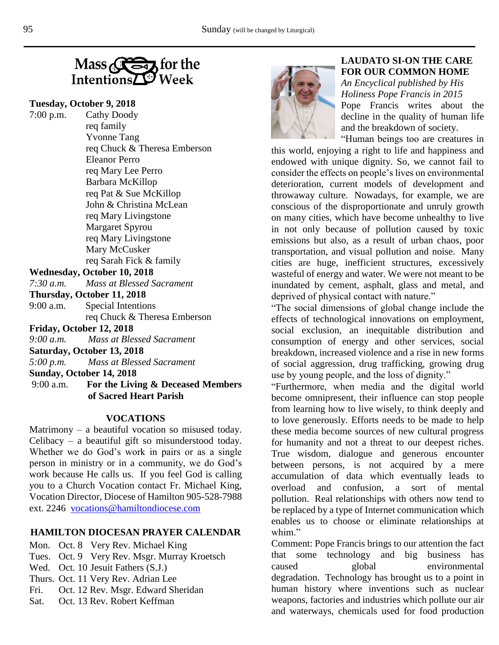

### **Tuesday, October 9, 2018**

7:00 p.m. Cathy Doody req family Yvonne Tang req Chuck & Theresa Emberson Eleanor Perro req Mary Lee Perro Barbara McKillop req Pat & Sue McKillop John & Christina McLean req Mary Livingstone Margaret Spyrou req Mary Livingstone Mary McCusker req Sarah Fick & family **Wednesday, October 10, 2018**

- *7:30 a.m. Mass at Blessed Sacrament*
- **Thursday, October 11, 2018**
- 9:00 a.m. Special Intentions req Chuck & Theresa Emberson

**Friday, October 12, 2018**

- *9:00 a.m. Mass at Blessed Sacrament*
- **Saturday, October 13, 2018**
- *5:00 p.m. Mass at Blessed Sacrament*
- **Sunday, October 14, 2018**
- 9:00 a.m. **For the Living & Deceased Members of Sacred Heart Parish**

#### **VOCATIONS**

Matrimony – a beautiful vocation so misused today. Celibacy – a beautiful gift so misunderstood today. Whether we do God's work in pairs or as a single person in ministry or in a community, we do God's work because He calls us. If you feel God is calling you to a Church Vocation contact Fr. Michael King, Vocation Director, Diocese of Hamilton 905-528-7988 ext. 2246 [vocations@hamiltondiocese.com](mailto:vocations@hamiltondiocese.com)

### **HAMILTON DIOCESAN PRAYER CALENDAR**

Mon. Oct. 8 Very Rev. Michael King Tues. Oct. 9 Very Rev. Msgr. Murray Kroetsch Wed. Oct. 10 Jesuit Fathers (S.J.) Thurs. Oct. 11 Very Rev. Adrian Lee Fri. Oct. 12 Rev. Msgr. Edward Sheridan Sat. Oct. 13 Rev. Robert Keffman



# **LAUDATO SI-ON THE CARE FOR OUR COMMON HOME**

*An Encyclical published by His Holiness Pope Francis in 2015* Pope Francis writes about the decline in the quality of human life and the breakdown of society.

"Human beings too are creatures in this world, enjoying a right to life and happiness and endowed with unique dignity. So, we cannot fail to consider the effects on people's lives on environmental deterioration, current models of development and throwaway culture. Nowadays, for example, we are conscious of the disproportionate and unruly growth on many cities, which have become unhealthy to live in not only because of pollution caused by toxic emissions but also, as a result of urban chaos, poor transportation, and visual pollution and noise. Many cities are huge, inefficient structures, excessively wasteful of energy and water. We were not meant to be inundated by cement, asphalt, glass and metal, and deprived of physical contact with nature."

"The social dimensions of global change include the effects of technological innovations on employment, social exclusion, an inequitable distribution and consumption of energy and other services, social breakdown, increased violence and a rise in new forms of social aggression, drug trafficking, growing drug use by young people, and the loss of dignity."

"Furthermore, when media and the digital world become omnipresent, their influence can stop people from learning how to live wisely, to think deeply and to love generously. Efforts needs to be made to help these media become sources of new cultural progress for humanity and not a threat to our deepest riches. True wisdom, dialogue and generous encounter between persons, is not acquired by a mere accumulation of data which eventually leads to overload and confusion, a sort of mental pollution. Real relationships with others now tend to be replaced by a type of Internet communication which enables us to choose or eliminate relationships at whim."

Comment: Pope Francis brings to our attention the fact that some technology and big business has caused global environmental degradation. Technology has brought us to a point in human history where inventions such as nuclear weapons, factories and industries which pollute our air and waterways, chemicals used for food production